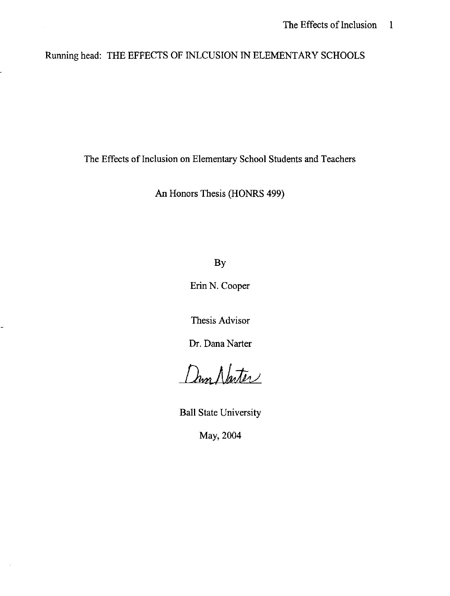# Running head: THE EFFECTS OF INLCUSION IN ELEMENTARY SCHOOLS

The Effects of Inclusion on Elementary School Students and Teachers

An Honors Thesis (HONRS 499)

By

Erin N. Cooper

Thesis Advisor

Dr. Dana Narter

Dun Naster

Ball State University

May, 2004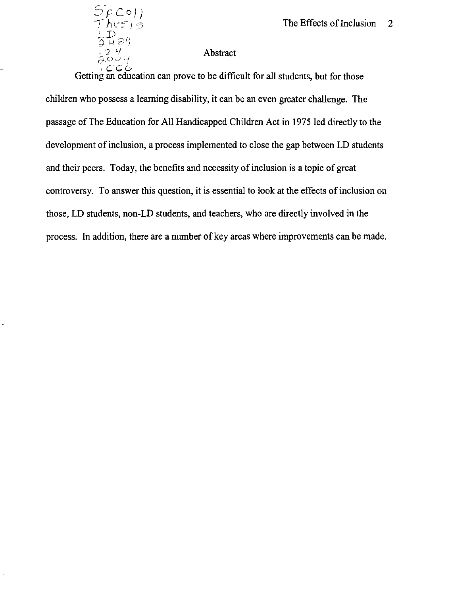## Abstract

 $SpCo$   $)$  $heE$ ;  $\Rightarrow$ 

 $\frac{1}{2}P_{B9}$ 

c-i-() ~:) : / *,eGG*  Getting an education can prove to be difficult for all students, but for those children who possess a learning disability, it can be an even greater challenge. The passage of The Education for All Handicapped Children Act in 1975 led directly to the development of inclusion, a process implemented to close the gap between LD students and their peers. Today, the benefits and necessity of inclusion is a topic of great controversy. To answer this question, it is essential to look at the effects of inclusion on those, LD students, non-LD students, and teachers, who are directly involved in the process. In addition, there are a number of key areas where improvements can be made.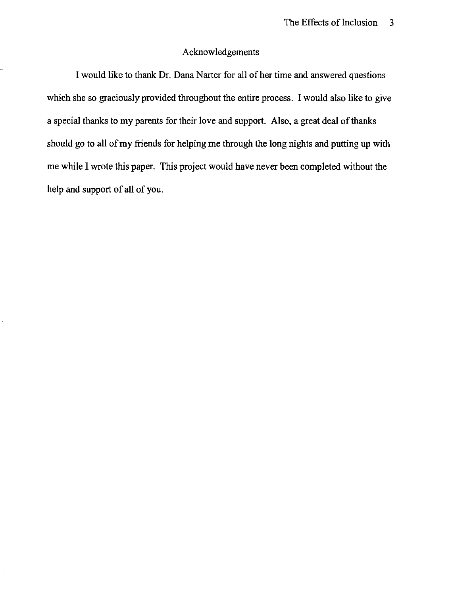## Acknowledgements

I would like to thank Dr. Dana Narter for all of her time and answered questions which she so graciously provided throughout the entire process. I would also like to give a special thanks to my parents for their love and support. Also, a great deal of thanks should go to all of my friends for helping me through the long nights and putting up with me while I wrote this paper. This project would have never been completed without the help and support of all of you.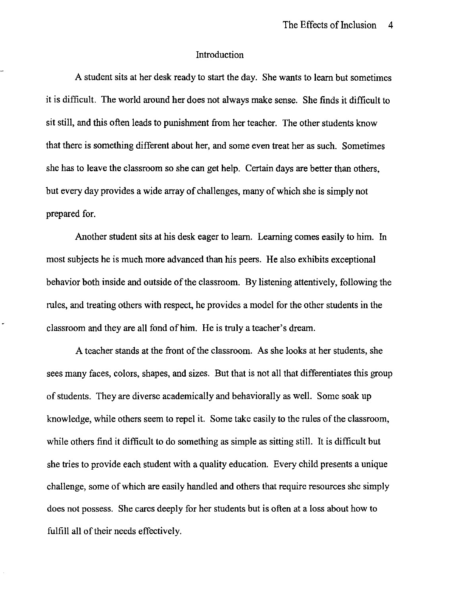## Introduction

A student sits at her desk ready to start the day. She wants to learn but sometimes it is difficult. The world around her does not always make sense. She finds it difficult to sit still, and this often leads to punishment from her teacher. The other students know that there is something different about her, and some even treat her as such. Sometimes she has to leave the classroom so she can get help. Certain days are better than others, but every day provides a wide array of challenges, many of which she is simply not prepared for.

Another student sits at his desk eager to learn. Learning comes easily to him. In most subjects he is much more advanced than his peers. He also exhibits exceptional behavior both inside and outside of the classroom. By listening attentively, following the rules, and treating others with respect, he provides a model for the other students in the classroom and they are all fond of him. He is truly a teacher's dream.

A teacher stands at the front of the classroom. As she looks at her students, she sees many faces, colors, shapes, and sizes. But that is not all that differentiates this group of students. They are diverse academically and behaviorally as well. Some soak up knowledge, while others seem to repel it. Some take easily to the rules of the classroom, while others find it difficult to do something as simple as sitting still. It is difficult but she tries to provide each student with a quality education. Every child presents a unique challenge, some of which are easily handled and others that require resources she simply does not possess. She cares deeply for her students but is often at a loss about how to fulfill all of their needs effectively.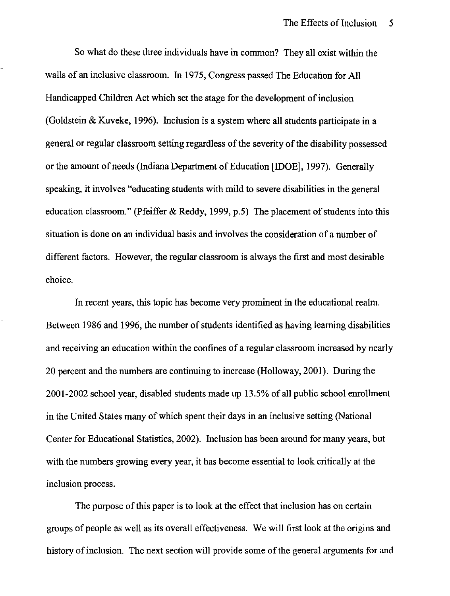So what do these three individuals have in common? They all exist within the walls of an inclusive classroom. In 1975, Congress passed The Education for All Handicapped Children Act which set the stage for the development of inclusion (Goldstein & Kuveke, 1996). Inclusion is a system where all students participate in a general or regular classroom setting regardless of the severity of the disability possessed or the amount of needs (Indiana Department of Education [IDOE], 1997). Generally speaking, it involves "educating students with mild to severe disabilities in the general education classroom." (Pfeiffer & Reddy, 1999, p.5) The placement of students into this situation is done on an individual basis and involves the consideration of a number of different factors. However, the regular classroom is always the first and most desirable choice.

In recent years, this topic has become very prominent in the educational realm. Between 1986 and 1996, the number of students identified as having learning disabilities and receiving an education within the confines of a regular classroom increased by nearly 20 percent and the numbers are continuing to increase (Holloway, 2001). During the 2001-2002 school year, disabled students made up 13.5% of all public school enrollment in the United States many of which spent their days in an inclusive setting (National Center for Educational Statistics, 2002). Inclusion has been around for many years, but with the numbers growing every year, it has become essential to look critically at the inclusion process.

The purpose of this paper is to look at the effect that inclusion has on certain groups of people as well as its overall effectiveness. We will first look at the origins and history of inclusion. The next section will provide some of the general arguments for and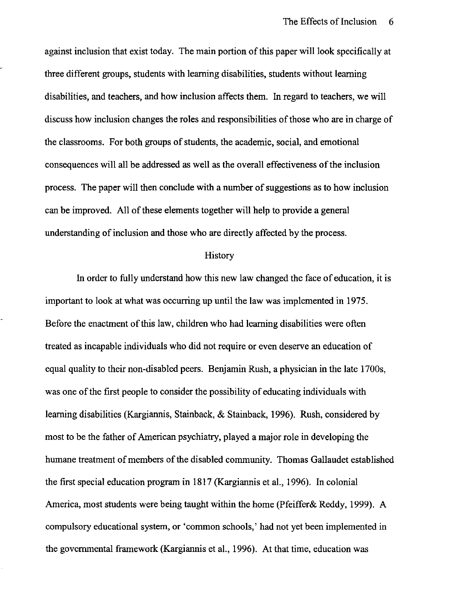against inclusion that exist today. The main portion of this paper will look specifically at three different groups, students with learning disabilities, students without learning disabilities, and teachers, and how inclusion affects them. In regard to teachers, we will discuss how inclusion changes the roles and responsibilities of those who are in charge of the classrooms. For both groups of students, the academic, social, and emotional consequences will all be addressed as well as the overall effectiveness of the inclusion process. The paper will then conclude with a number of suggestions as to how inclusion can be improved. All of these elements together will help to provide a general understanding of inclusion and those who are directly affected by the process.

#### **History**

In order to fully understand how this new law changed the face of education, it is important to look at what was occurring up until the law was implemented in 1975. Before the enactment of this law, children who had learning disabilities were often treated as incapable individuals who did not require or even deserve an education of equal quality to their non-disabled peers. Benjamin Rush, a physician in the late 1700s, was one of the first people to consider the possibility of educating individuals with learning disabilities (Kargiannis, Stainback, & Stainback, 1996). Rush, considered by most to be the father of American psychiatry, played a major role in developing the humane treatment of members of the disabled community. Thomas Gallaudet established the first special education program in 1817 (Kargiannis et aI., 1996). In colonial America, most students were being taught within the home (Pfeiffer& Reddy, 1999). A compulsory educational system, or 'common schools,' had not yet been implemented in the governmental framework (Kargiannis et aI., 1996). At that time, education was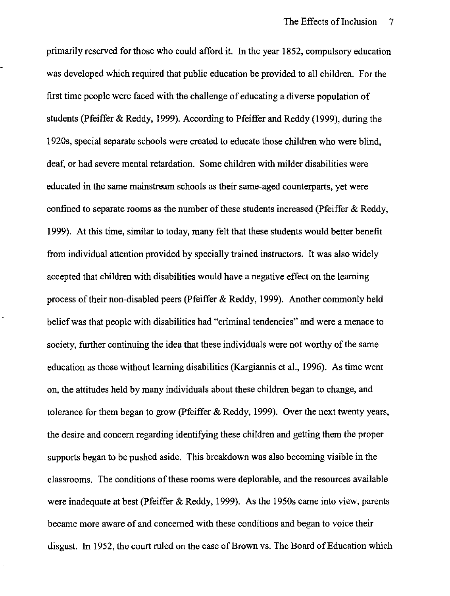primarily reserved for those who could afford it. In the year 1852, compulsory education was developed which required that public education be provided to all children. For the first time people were faced with the challenge of educating a diverse population of students (Pfeiffer & Reddy, 1999). According to Pfeiffer and Reddy (1999), during the 1920s, special separate schools were created to educate those children who were blind, deaf, or had severe mental retardation. Some children with milder disabilities were educated in the same mainstream schools as their same-aged counterparts, yet were confined to separate rooms as the number of these students increased (Pfeiffer & Reddy, 1999). At this time, similar to today, many felt that these students would better benefit from individual attention provided by specially trained instructors. It was also widely accepted that children with disabilities would have a negative effect on the learning process of their non-disabled peers (Pfeiffer & Reddy, 1999). Another commonly held belief was that people with disabilities had "criminal tendencies" and were a menace to society, further continuing the idea that these individuals were not worthy of the same education as those without learning disabilities (Kargiannis et aI., 1996). As time went on, the attitudes held by many individuals about these children began to change, and tolerance for them began to grow (Pfeiffer & Reddy, 1999). Over the next twenty years, the desire and concern regarding identifying these children and getting them the proper supports began to be pushed aside. This breakdown was also becoming visible in the classrooms. The conditions of these rooms were deplorable, and the resources available were inadequate at best (Pfeiffer & Reddy, 1999). As the 1950s came into view, parents became more aware of and concerned with these conditions and began to voice their disgust. In 1952, the court ruled on the case of Brown vs. The Board of Education which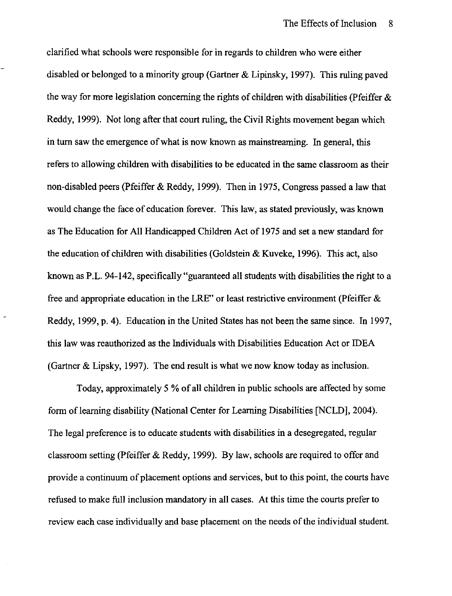clarified what schools were responsible for in regards to children who were either disabled or belonged to a minority group (Gartner & Lipinsky, 1997). This ruling paved the way for more legislation concerning the rights of children with disabilities (Pfeiffer  $\&$ Reddy, 1999). Not long after that court ruling, the Civil Rights movement began which in turn saw the emergence of what is now known as mainstreaming. In general, this refers to allowing children with disabilities to be educated in the same classroom as their non-disabled peers (pfeiffer & Reddy, 1999). Then in 1975, Congress passed a law that would change the face of education forever. This law, as stated previously, was known as The Education for All Handicapped Children Act of 1975 and set a new standard for the education of children with disabilities (Goldstein & Kuveke, 1996). This act, also known as P.L. 94-142, specifically "guaranteed all students with disabilities the right to a free and appropriate education in the LRE" or least restrictive environment (Pfeiffer & Reddy, 1999, p. 4). Education in the United States has not been the same since. In 1997, this law was reauthorized as the Individuals with Disabilities Education Act or IDEA (Gartner & Lipsky, 1997). The end result is what we now know today as inclusion.

Today, approximately 5 % of all children in public schools are affected by some form of learning disability (National Center for Learning Disabilities [NCLD], 2004). The legal preference is to educate students with disabilities in a desegregated, regular classroom setting (Pfeiffer & Reddy, 1999). By law, schools are required to offer and provide a continuum of placement options and services, but to this point, the courts have refused to make full inclusion mandatory in all cases. At this time the courts prefer to review each case individually and base placement on the needs of the individual student.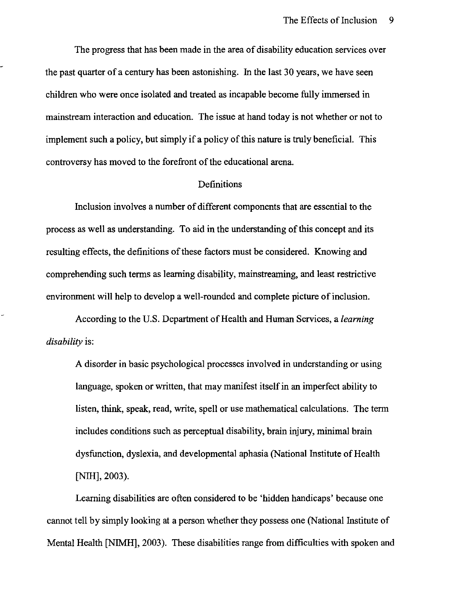The progress that has been made in the area of disability education services over the past quarter of a century has been astonishing. In the last 30 years, we have seen children who were once isolated and treated as incapable become fully immersed in mainstream interaction and education. The issue at hand today is not whether or not to implement such a policy, but simply if a policy of this nature is truly beneficial. This controversy has moved to the forefront of the educational arena.

## Definitions

Inclusion involves a number of different components that are essential to the process as well as understanding. To aid in the understanding of this concept and its resulting effects, the definitions of these factors must be considered. Knowing and comprehending such terms as learning disability, mainstreaming, and least restrictive environment will help to develop a well-rounded and complete picture of inclusion.

According to the U.S. Department of Health and Human Services, a *learning disability* is:

A disorder in basic psychological processes involved in understanding or using language, spoken or written, that may manifest itself in an imperfect ability to listen, think, speak, read, write, spell or use mathematical calculations. The term includes conditions such as perceptual disability, brain injury, minimal brain dysfunction, dyslexia, and developmental aphasia (National Institute of Health [NIH], 2003).

Learning disabilities are often considered to be 'hidden handicaps' because one cannot tell by simply looking at a person whether they possess one (National Institute of Mental Health (NIMH], 2003). These disabilities range from difficulties with spoken and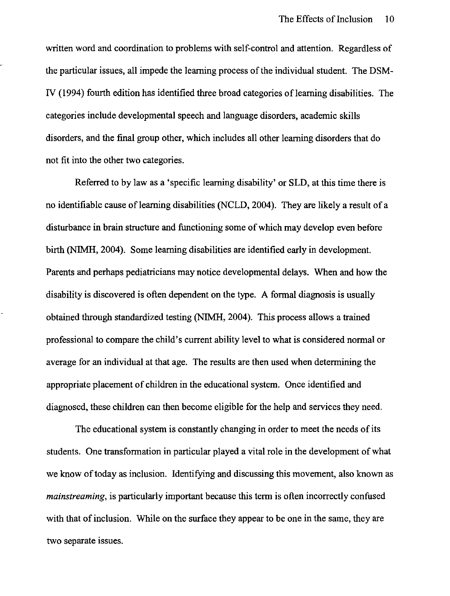written word and coordination to problems with self-control and attention. Regardless of the particular issues, all impede the learning process of the individual student. The DSM-IV (1994) fourth edition has identified three broad categories of learning disabilities. The categories include developmental speech and language disorders, academic skills disorders, and the final group other, which includes all other learning disorders that do not fit into the other two categories.

Referred to by law as a 'specific learning disability' or SLD, at this time there is no identifiable cause of learning disabilities (NCLD, 2004). They are likely a result of a disturbance in brain structure and functioning some of which may develop even before birth (NIMH, 2004). Some learning disabilities are identified early in development. Parents and perhaps pediatricians may notice developmental delays. When and how the disability is discovered is often dependent on the type. A formal diagnosis is usually obtained through standardized testing (NIMH, 2004). This process allows a trained professional to compare the child's current ability level to what is considered normal or average for an individual at that age. The results are then used when determining the appropriate placement of children in the educational system. Once identified and diagnosed, these children can then become eligible for the help and services they need.

The educational system is constantly changing in order to meet the needs of its students. One transformation in particular played a vital role in the development of what we know of today as inclusion. Identifying and discussing this movement, also known as *mainstreaming,* is particularly important because this term is often incorrectly confused with that of inclusion. While on the surface they appear to be one in the same, they are two separate issues.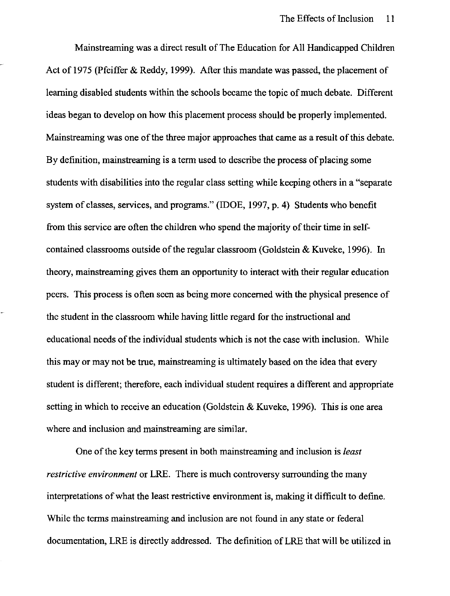Mainstreaming was a direct result of The Education for All Handicapped Children Act of 1975 (Pfeiffer & Reddy, 1999). After this mandate was passed, the placement of learning disabled students within the schools became the topic of much debate. Different ideas began to develop on how this placement process should be properly implemented. Mainstreaming was one of the three major approaches that came as a result of this debate. By definition, mainstreaming is a term used to describe the process of placing some students with disabilities into the regular class setting while keeping others in a "separate system of classes, services, and programs." (IDOE, 1997, p. 4) Students who benefit from this service are often the children who spend the majority of their time in selfcontained classrooms outside of the regular classroom (Goldstein & Kuveke, 1996). In theory, mainstreaming gives them an opportunity to interact with their regular education peers. This process is often seen as being more concerned with the physical presence of the student in the classroom while having little regard for the instructional and educational needs of the individual students which is not the case with inclusion. While this mayor may not be true, mainstreaming is ultimately based on the idea that every student is different; therefore, each individual student requires a different and appropriate setting in which to receive an education (Goldstein & Kuveke, 1996). This is one area where and inclusion and mainstreaming are similar.

One of the key terms present in both mainstreaming and inclusion is *least restrictive environment* or LRE. There is much controversy surrounding the many interpretations of what the least restrictive environment is, making it difficult to define. While the tenns mainstreaming and inclusion are not found in any state or federal documentation, LRE is directly addressed. The definition of LRE that will be utilized in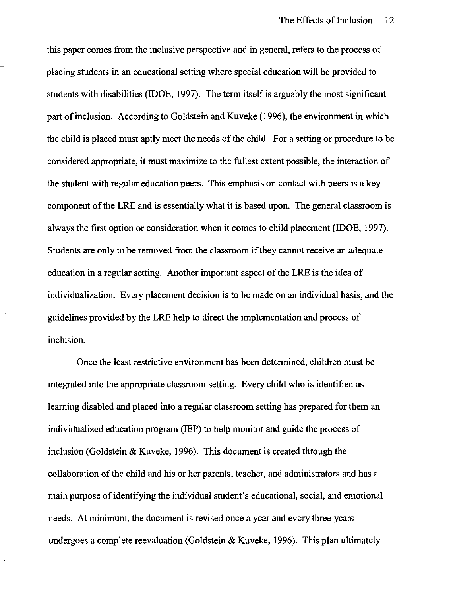this paper comes from the inclusive perspective and in general, refers to the process of placing students in an educational setting where special education will be provided to students with disabilities (IDOE, 1997). The term itself is arguably the most significant part of inclusion. According to Goldstein and Kuveke (1996), the environment in which the child is placed must aptly meet the needs of the child. For a setting or procedure to be considered appropriate, it must maximize to the fullest extent possible, the interaction of the student with regular education peers. This emphasis on contact with peers is a key component of the LRE and is essentially what it is based upon. The general classroom is always the first option or consideration when it comes to child placement (IDOE, 1997). Students are only to be removed from the classroom if they cannot receive an adequate education in a regular setting. Another important aspect of the LRE is the idea of individualization. Every placement decision is to be made on an individual basis, and the guidelines provided by the LRE help to direct the implementation and process of inclusion.

Once the least restrictive environment has been determined, children must be integrated into the appropriate classroom setting. Every child who is identified as learning disabled and placed into a regular classroom setting has prepared for them an individualized education program (IEP) to help monitor and guide the process of inclusion (Goldstein & Kuveke, 1996). This document is created through the collaboration of the child and his or her parents, teacher, and administrators and has a main purpose of identifying the individual student's educational, social, and emotional needs. At minimum, the document is revised once a year and every three years undergoes a complete reevaluation (Goldstein & Kuveke, 1996). This plan ultimately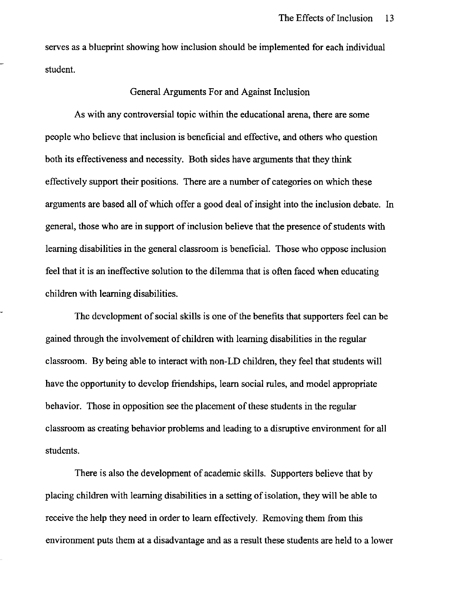serves as a blueprint showing how inclusion should be implemented for each individual student.

#### General Arguments For and Against Inclusion

As with any controversial topic within the educational arena, there are some people who believe that inclusion is beneficial and effective, and others who question both its effectiveness and necessity. Both sides have arguments that they think effectively support their positions. There are a number of categories on which these arguments are based all of which offer a good deal of insight into the inclusion debate. In general, those who are in support of inclusion believe that the presence of students with learning disabilities in the general classroom is beneficial. Those who oppose inclusion feel that it is an ineffective solution to the dilemma that is often faced when educating children with learning disabilities.

The development of social skills is one of the benefits that supporters feel can be gained through the involvement of children with learning disabilities in the regular classroom. By being able to interact with non-LD children, they feel that students will have the opportunity to develop friendships, learn social rules, and model appropriate behavior. Those in opposition see the placement of these students in the regular classroom as creating behavior problems and leading to a disruptive enviromnent for all students.

There is also the development of academic skills. Supporters believe that by placing children with learning disabilities in a setting of isolation, they will be able to receive the help they need in order to learn effectively. Removing them from this enviromnent puts them at a disadvantage and as a result these students are held to a lower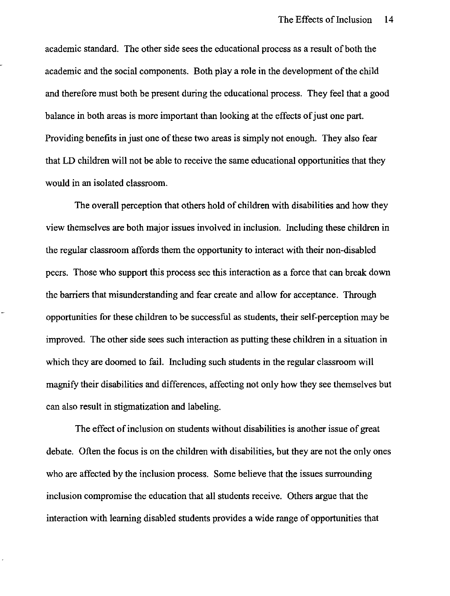academic standard. The other side sees the educational process as a result of both the academic and the social components. Both playa role in the development of the child and therefore must both be present during the educational process. They feel that a good balance in both areas is more important than looking at the effects of just one part. Providing benefits in just one of these two areas is simply not enough. They also fear that LD children will not be able to receive the same educational opportunities that they would in an isolated classroom.

The overall perception that others hold of children with disabilities and how they view themselves are both major issues involved in inclusion. Including these children in the regular classroom affords them the opportunity to interact with their non-disabled peers. Those who support this process see this interaction as a force that can break down the barriers that misunderstanding and fear create and allow for acceptance. Through opportunities for these children to be successful as students, their self-perception may be improved. The other side sees such interaction as putting these children in a situation in which they are doomed to fail. Including such students in the regular classroom will magnify their disabilities and differences, affecting not only how they see themselves but can also result in stigmatization and labeling.

The effect of inclusion on students without disabilities is another issue of great debate. Often the focus is on the children with disabilities, but they are not the only ones who are affected by the inclusion process. Some believe that the issues surrounding inclusion compromise the education that all students receive. Others argue that the interaction with learning disabled students provides a wide range of opportunities that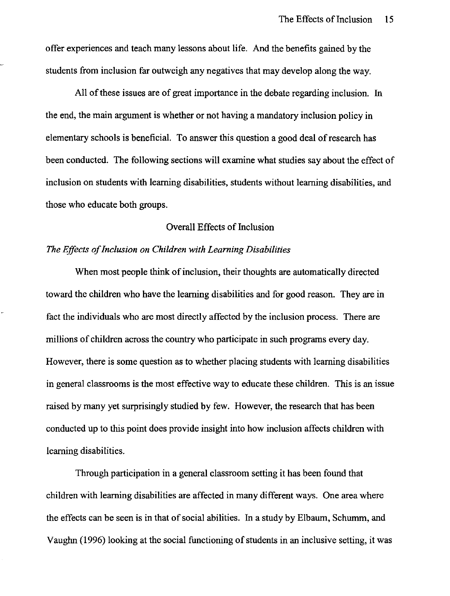offer experiences and teach many lessons about life. And the benefits gained by the students from inclusion far outweigh any negatives that may develop along the way.

All of these issues are of great importance in the debate regarding inclusion. In the end, the main argument is whether or not having a mandatory inclusion policy in elementary schools is beneficial. To answer this question a good deal of research has been conducted. The following sections will examine what studies say about the effect of inclusion on students with learning disabilities, students without learning disabilities, and those who educate both groups.

## Overall Effects of Inclusion

#### *The Effects of Inclusion on Children with Learning Disabilities*

When most people think of inclusion, their thoughts are automatically directed toward the children who have the learning disabilities and for good reason. They are in fact the individuals who are most directly affected by the inclusion process. There are millions of children across the country who participate in such programs every day. However, there is some question as to whether placing students with learning disabilities in general classrooms is the most effective way to educate these children. This is an issue raised by many yet surprisingly studied by few. However, the research that has been conducted up to this point does provide insight into how inclusion affects children with learning disabilities.

Through participation in a general classroom setting it has been found that children with learning disabilities are affected in many different ways. One area where the effects can be seen is in that of social abilities. In a study by Elbaum, Schumm, and Vaughn (1996) looking at the social functioning of students in an inclusive setting, it was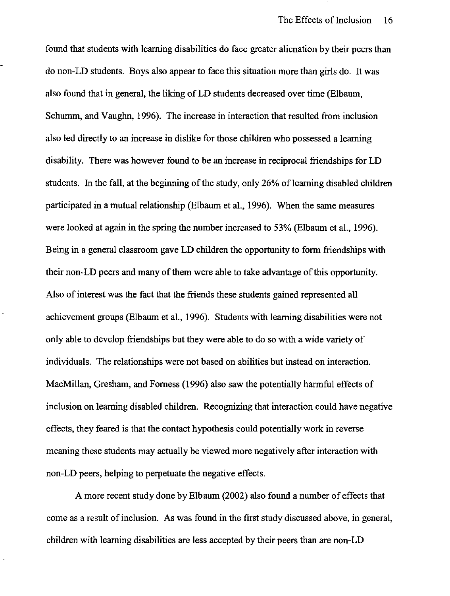found that students with learning disabilities do face greater alienation by their peers than do non-LD students. Boys also appear to face this situation more than girls do. It was also found that in general, the liking of LD students decreased over time (Elbaum, Schumm, and Vaughn, 1996). The increase in interaction that resulted from inclusion also led directly to an increase in dislike for those children who possessed a learning disability. There was however found to be an increase in reciprocal friendships for LD students. In the fall, at the beginning of the study, only 26% of learning disabled children participated in a mutual relationship (Elbaum et al., 1996). When the same measures were looked at again in the spring the number increased to 53% (Elbaum et aI., 1996). Being in a general classroom gave LD children the opportunity to form friendships with their non-LD peers and many of them were able to take advantage of this opportunity. Also of interest was the fact that the friends these students gained represented all achievement groups (Elbaum et aI., 1996). Students with learning disabilities were not only able to develop friendships but they were able to do so with a wide variety of individuals. The relationships were not based on abilities but instead on interaction. MacMillan, Gresham, and Forness (1996) also saw the potentially harmful effects of inclusion on learning disabled children. Recognizing that interaction could have negative effects, they feared is that the contact hypothesis could potentially work in reverse meaning these students may actually be viewed more negatively after interaction with non-LD peers, helping to perpetuate the negative effects.

A more recent study done by Elbaum (2002) also found a number of effects that come as a result of inclusion. As was found in the first study discussed above, in general, children with learning disabilities are less accepted by their peers than are non-LD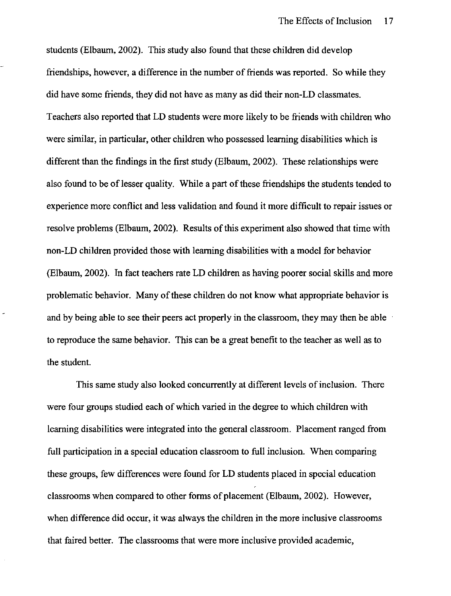students (Elbaum, 2002). This study also found that these children did develop friendships, however, a difference in the number of friends was reported. So while they did have some friends, they did not have as many as did their non-LD classmates. Teachers also reported that LD students were more likely to be friends with children who were similar, in particular, other children who possessed learning disabilities which is different than the findings in the first study (Elbaum, 2002). These relationships were also found to be of lesser quality. While a part of these friendships the students tended to experience more conflict and less validation and found it more difficult to repair issues or resolve problems (Elbaum, 2002). Results of this experiment also showed that time with non-LD children provided those with learning disabilities with a model for behavior (Elbaum, 2002). In fact teachers rate LD children as having poorer social skills and more problematic behavior. Many of these children do not know what appropriate behavior is and by being able to see their peers act properly in the classroom, they may then be able to reproduce the same behavior. This can be a great benefit to the teacher as well as to the student.

This same study also looked concurrently at different levels of inclusion. There were four groups studied each of which varied in the degree to which children with learning disabilities were integrated into the general classroom. Placement ranged from full participation in a special education classroom to full inclusion. When comparing these groups, few differences were found for LD students placed in special education classrooms when compared to other forms of placement (Elbaum, 2002). However, when difference did occur, it was always the children in the more inclusive classrooms that faired better. The classrooms that were more inclusive provided academic,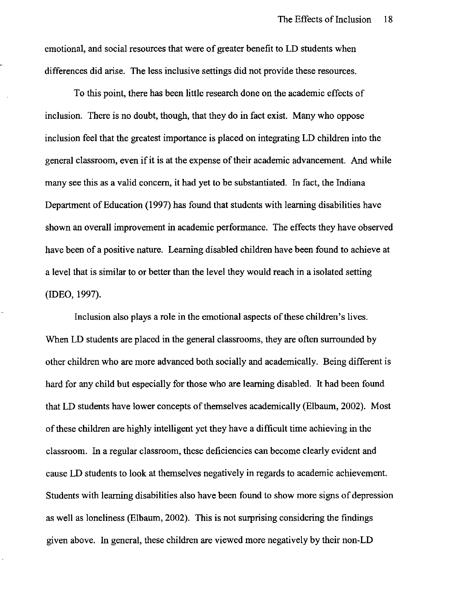emotional, and social resources that were of greater benefit to LD students when differences did arise. The less inclusive settings did not provide these resources.

To this point, there has been little research done on the academic effects of inclusion. There is no doubt, though, that they do in fact exist. Many who oppose inclusion feel that the greatest importance is placed on integrating LD children into the general classroom, even if it is at the expense of their academic advancement. And while many see this as a valid concern, it had yet to be substantiated. In fact, the Indiana Department of Education (1997) has found that students with learning disabilities have shown an overall improvement in academic performance. The effects they have observed have been of a positive nature. Learning disabled children have been found to achieve at a level that is similar to or better than the level they would reach in a isolated setting (IDEO, 1997).

Inclusion also plays a role in the emotional aspects of these children's lives. When LD students are placed in the general classrooms, they are often surrounded by other children who are more advanced both socially and academically. Being different is hard for any child but especially for those who are learning disabled. It had been found that LD students have lower concepts of themselves academically (Elbaum, 2002). Most of these children are highly intelligent yet they have a difficult time achieving in the classroom. In a regular classroom, these deficiencies can become clearly evident and cause LD students to look at themselves negatively in regards to academic achievement. Students with learning disabilities also have been found to show more signs of depression as well as loneliness (Elbaum, 2002). This is not surprising considering the findings given above. In general, these children are viewed more negatively by their non-LD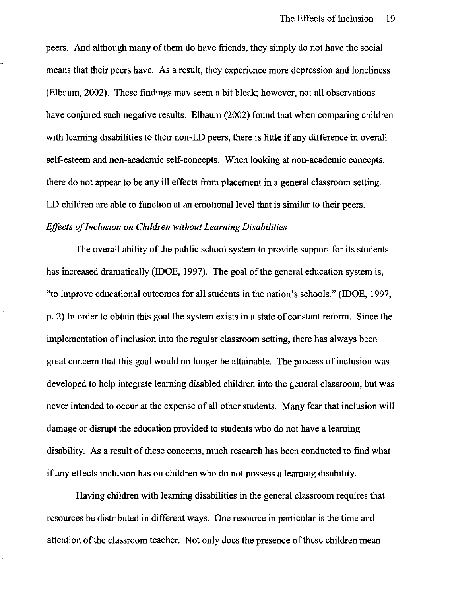peers. And although many of them do have friends, they simply do not have the social means that their peers have. As a result, they experience more depression and loneliness (Elbaum, 2002). These findings may seem a bit bleak; however, not all observations have conjured such negative results. Elbaum (2002) found that when comparing children with learning disabilities to their non-LD peers, there is little if any difference in overall self-esteem and non-academic self-concepts. When looking at non-academic concepts, there do not appear to be any ill effects from placement in a general classroom setting. LD children are able to function at an emotional level that is similar to their peers. *Effects of Inclusion on Children without Learning Disabilities* 

The overall ability of the public school system to provide support for its students has increased dramatically (IDOE, 1997). The goal of the general education system is, "to improve educational outcomes for all students in the nation's schools." (IDOE, 1997, p. 2) In order to obtain this goal the system exists in a state of constant reform. Since the implementation of inclusion into the regular classroom setting, there has always been great concern that this goal would no longer be attainable. The process of inclusion was developed to help integrate learning disabled children into the general classroom, but was never intended to occur at the expense of all other students. Many fear that inclusion will damage or disrupt the education provided to students who do not have a learning disability. As a result of these concerns, much research has been conducted to find what if any effects inclusion has on children who do not possess a learning disability.

Having children with learning disabilities in the general classroom requires that resources be distributed in different ways. One resource in particular is the time and attention of the classroom teacher. Not only does the presence of these children mean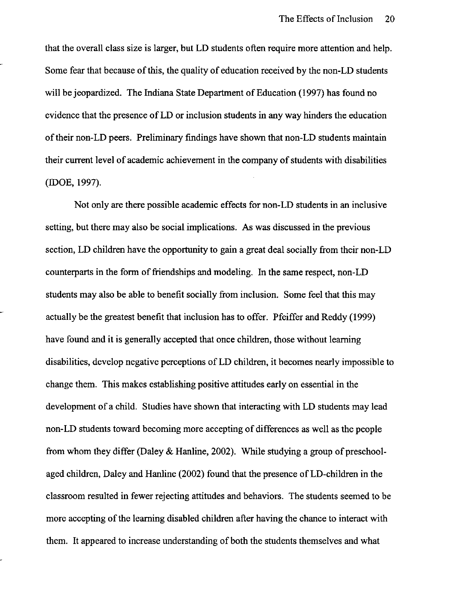that the overall class size is larger, but LD students often require more attention and help. Some fear that because of this, the quality of education received by the non-LD students will be jeopardized. The Indiana State Department of Education (1997) has found no evidence that the presence of LD or inclusion students in any way hinders the education oftheir non-LD peers. Preliminary findings have shown that non-LD students maintain their current level of academic achievement in the company of students with disabilities (IDOE, 1997).

Not only are there possible academic effects for non-LD students in an inclusive setting, but there may also be social implications. As was discussed in the previous section, LD children have the opportunity to gain a great deal socially from their non-LD counterparts in the form of friendships and modeling. In the same respect, non-LD students may also be able to benefit socially from inclusion. Some feel that this may actually be the greatest benefit that inclusion has to offer. Pfeiffer and Reddy (1999) have found and it is generally accepted that once children, those without learning disabilities, develop negative perceptions of LD children, it becomes nearly impossible to change them. This makes establishing positive attitudes early on essential in the development of a child. Studies have shown that interacting with LD students may lead non-LD students toward becoming more accepting of differences as well as the people from whom they differ (Daley & Hanline, 2002). While studying a group of preschoolaged children, Daley and Hanline (2002) found that the presence of LD-children in the classroom resulted in fewer rejecting attitudes and behaviors. The students seemed to be more accepting of the learning disabled children after having the chance to interact with them. It appeared to increase understanding of both the students themselves and what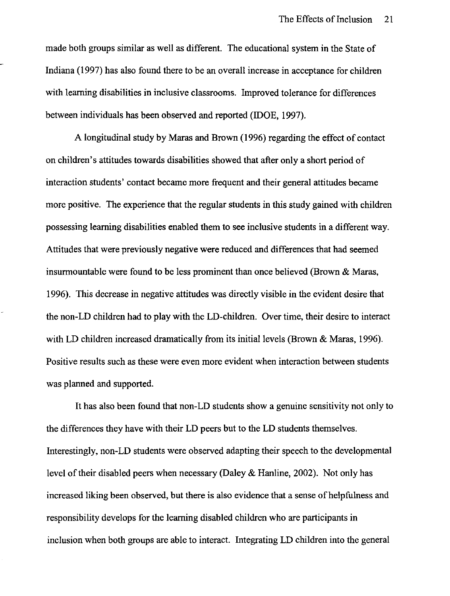made both groups similar as well as different. The educational system in the State of Indiana (1997) has also found there to be an overall increase in acceptance for children with learning disabilities in inclusive classrooms. Improved tolerance for differences between individuals has been observed and reported (IDOE, 1997).

A longitudinal study by Maras and Brown (1996) regarding the effect of contact on children's attitudes towards disabilities showed that after only a short period of interaction students' contact became more frequent and their general attitudes became more positive. The experience that the regular students in this study gained with children possessing learning disabilities enabled them to see inclusive students in a different way. Attitudes that were previously negative were reduced and differences that had seemed insurmountable were found to be less prominent than once believed (Brown & Maras, 1996). This decrease in negative attitudes was directly visible in the evident desire that the non-LD children had to play with the LD-children. Over time, their desire to interact with LD children increased dramatically from its initial levels (Brown & Maras, 1996). Positive results such as these were even more evident when interaction between students was planned and supported.

It has also been found that non-LD students show a genuine sensitivity not only to the differences they have with their LD peers but to the LD students themselves. Interestingly, non-LD students were observed adapting their speech to the developmental level of their disabled peers when necessary (Daley & Hanline, 2002). Not only has increased liking been observed, but there is also evidence that a sense of helpfulness and responsibility develops for the learning disabled children who are participants in inclusion when both groups are able to interact. Integrating LD children into the general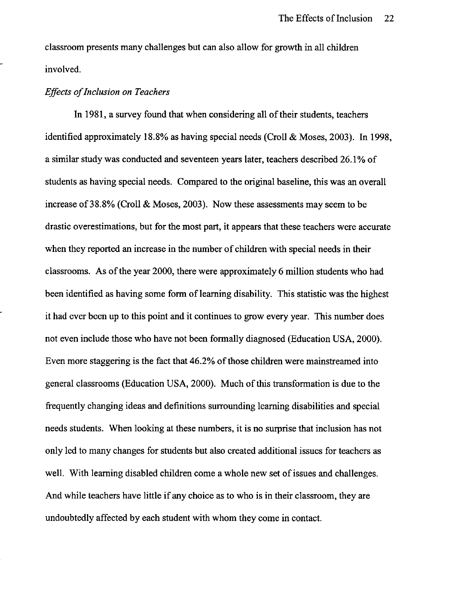classroom presents many challenges but can also allow for growth in all children involved.

## *Effects of Inclusion on Teachers*

In 1981, a survey found that when considering all of their students, teachers identified approximately 18.8% as having special needs (Croll  $&$  Moses, 2003). In 1998, a similar study was conducted and seventeen years later, teachers described 26.1 % of students as having special needs. Compared to the original baseline, this was an overall increase of38.8% (Croll & Moses, 2003). Now these assessments may seem to be drastic overestimations, but for the most part, it appears that these teachers were accurate when they reported an increase in the number of children with special needs in their classrooms. As of the year 2000, there were approximately 6 million students who had been identified as having some form of learning disability. This statistic was the highest it had ever been up to this point and it continues to grow every year. This number does not even include those who have not been formally diagnosed (Education USA, 2000). Even more staggering is the fact that 46.2% of those children were mainstreamed into general classrooms (Education USA, 2000). Much of this transformation is due to the frequently changing ideas and definitions surrounding learning disabilities and special needs students. When looking at these numbers, it is no surprise that inclusion has not only led to many changes for students but also created additional issues for teachers as well. With learning disabled children come a whole new set of issues and challenges. And while teachers have little if any choice as to who is in their classroom, they are undoubtedly affected by each student with whom they come in contact.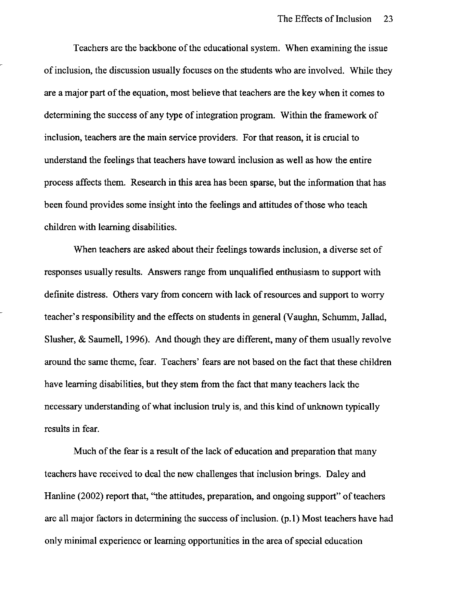Teachers are the backbone of the educational system. When examining the issue of inclusion, the discussion usually focuses on the students who are involved. While they are a major part of the equation, most believe that teachers are the key when it comes to determining the success of any type of integration program. Within the framework of inclusion, teachers are the main service providers. For that reason, it is crucial to understand the feelings that teachers have toward inclusion as well as how the entire process affects them. Research in this area has been sparse, but the information that has been found provides some insight into the feelings and attitudes of those who teach children with learning disabilities.

When teachers are asked about their feelings towards inclusion, a diverse set of responses usually results. Answers range from unqualified enthusiasm to support with definite distress. Others vary from concern with lack of resources and support to worry teacher's responsibility and the effects on students in general (Vaughn, Schumm, Jallad, Slusher, & Saumell, 1996). And though they are different, many of them usually revolve around the same theme, fear. Teachers' fears are not based on the fact that these children have learning disabilities, but they stem from the fact that many teachers lack the necessary understanding of what inclusion truly is, and this kind of unknown typically results in fear.

Much of the fear is a result of the lack of education and preparation that many teachers have received to deal the new challenges that inclusion brings. Daley and Hanline (2002) report that, "the attitudes, preparation, and ongoing support" of teachers are all major factors in determining the success of inclusion. (p.l) Most teachers have had only minimal experience or learning opportunities in the area of special education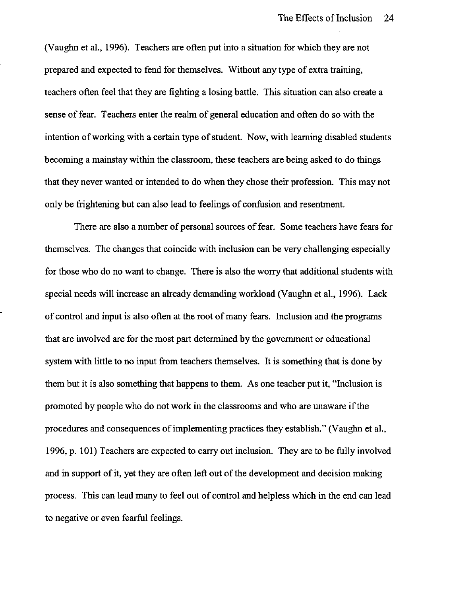(Vaughn et aI., 1996). Teachers are often put into a situation for which they are not prepared and expected to fend for themselves. Without any type of extra training, teachers often feel that they are fighting a losing battle. This situation can also create a sense of fear. Teachers enter the realm of general education and often do so with the intention of working with a certain type of student. Now, with learning disabled students becoming a mainstay within the classroom, these teachers are being asked to do things that they never wanted or intended to do when they chose their profession. This may not only be frightening but can also lead to feelings of confusion and resentment.

There are also a number of personal sources of fear. Some teachers have fears for themselves. The changes that coincide with inclusion can be very challenging especially for those who do no want to change. There is also the worry that additional students with special needs will increase an already demanding workload (Vaughn et aI., 1996). Lack of control and input is also often at the root of many fears. Inclusion and the programs that are involved are for the most part determined by the government or educational system with little to no input from teachers themselves. It is something that is done by them but it is also something that happens to them. As one teacher put it, "Inclusion is promoted by people who do not work in the classrooms and who are unaware if the procedures and consequences of implementing practices they establish." (Vaughn et aI., 1996, p. 101) Teachers are expected to carry out inclusion. They are to be fully involved and in support of it, yet they are often left out of the development and decision making process. This can lead many to feel out of control and helpless which in the end can lead to negative or even fearful feelings.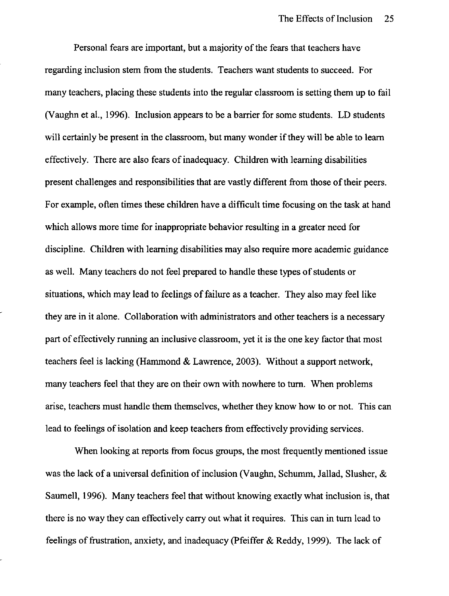Personal fears are important, but a majority of the fears that teachers have regarding inclusion stem from the students. Teachers want students to succeed. For many teachers, placing these students into the regular classroom is setting them up to fail (Vaughn et aI., 1996). Inclusion appears to be a barrier for some students. LD students will certainly be present in the classroom, but many wonder if they will be able to learn effectively. There are also fears of inadequacy. Children with learning disabilities present challenges and responsibilities that are vastly different from those of their peers. For example, often times these children have a difficult time focusing on the task at hand which allows more time for inappropriate behavior resulting in a greater need for discipline. Children with learning disabilities may also require more academic guidance as well. Many teachers do not feel prepared to handle these types of students or situations, which may lead to feelings of failure as a teacher. They also may feel like they are in it alone. Collaboration with administrators and other teachers is a necessary part of effectively running an inclusive classroom, yet it is the one key factor that most teachers feel is lacking (Hammond & Lawrence, 2003). Without a support network, many teachers feel that they are on their own with nowhere to turn. When problems arise, teachers must handle them themselves, whether they know how to or not. This can lead to feelings of isolation and keep teachers from effectively providing services.

When looking at reports from focus groups, the most frequently mentioned issue was the lack of a universal definition of inclusion (Vaughn, Schumm, Jallad, Slusher,  $\&$ Saumell, 1996). Many teachers feel that without knowing exactly what inclusion is, that there is no way they can effectively carry out what it requires. This can in turn lead to feelings of frustration, anxiety, and inadequacy (pfeiffer & Reddy, 1999). The lack of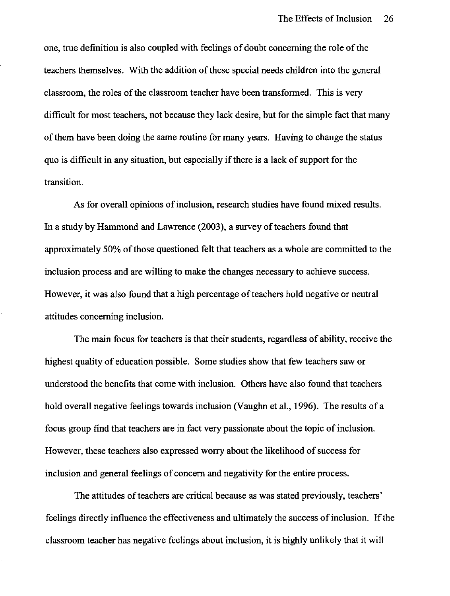one, true definition is also coupled with feelings of doubt concerning the role of the teachers themselves. With the addition of these special needs children into the general classroom, the roles of the classroom teacher have been transformed. This is very difficult for most teachers, not because they lack desire, but for the simple fact that many of them have been doing the same routine for many years. Having to change the status quo is difficult in any situation, but especially if there is a lack of support for the transition.

As for overall opinions of inclusion, research studies have found mixed results. In a study by Hammond and Lawrence (2003), a survey of teachers found that approximately 50% of those questioned felt that teachers as a whole are committed to the inclusion process and are willing to make the changes necessary to achieve success. However, it was also found that a high percentage of teachers hold negative or neutral attitudes concerning inclusion.

The main focus for teachers is that their students, regardless of ability, receive the highest quality of education possible. Some studies show that few teachers saw or understood the benefits that come with inclusion. Others have also found that teachers hold overall negative feelings towards inclusion (Vaughn et aI., 1996). The results of a focus group find that teachers are in fact very passionate about the topic of inclusion. However, these teachers also expressed worry about the likelihood of success for inclusion and general feelings of concern and negativity for the entire process.

The attitudes of teachers are critical because as was stated previously, teachers' feelings directly influence the effectiveness and ultimately the success of inclusion. If the classroom teacher has negative feelings about inclusion, it is highly unlikely that it will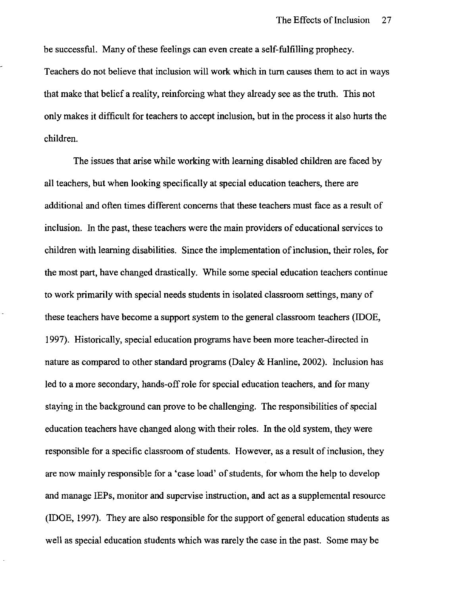be successful. Many of these feelings can even create a self-fulfilling prophecy. Teachers do not believe that inclusion will work which in turn causes them to act in ways that make that belief a reality, reinforcing what they already see as the truth. This not only makes it difficult for teachers to accept inclusion, but in the process it also hurts the children.

The issues that arise while working with learning disabled children are faced by all teachers, but when looking specifically at special education teachers, there are additional and often times different concerns that these teachers must face as a result of inclusion. In the past, these teachers were the main providers of educational services to children with learning disabilities. Since the implementation of inclusion, their roles, for the most part, have changed drastically. While some special education teachers continue to work primarily with special needs students in isolated classroom settings, many of these teachers have become a support system to the general classroom teachers (IDOE, 1997). Historically, special education programs have been more teacher-directed in nature as compared to other standard programs (Daley & Hanline, 2002). Inclusion has led to a more secondary, hands-off role for special education teachers, and for many staying in the background can prove to be challenging. The responsibilities of special education teachers have changed along with their roles. In the old system, they were responsible for a specific classroom of students. However, as a result of inclusion, they are now mainly responsible for a 'case load' of students, for whom the help to develop and manage IEPs, monitor and supervise instruction, and act as a supplemental resource (IDOE, 1997). They are also responsible for the support of general education students as well as special education students which was rarely the case in the past. Some may be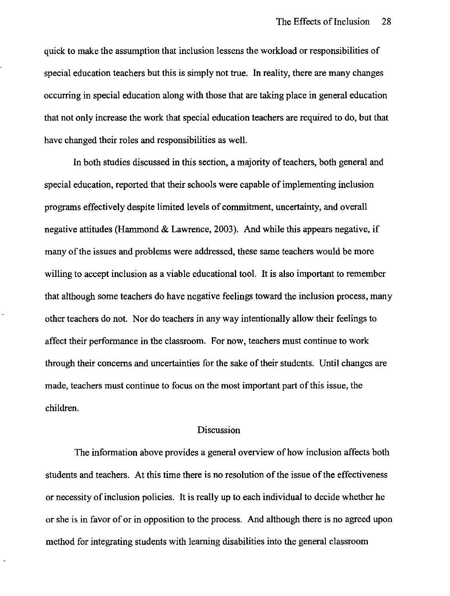quick to make the assumption that inclusion lessens the workload or responsibilities of special education teachers but this is simply not true. In reality, there are many changes occurring in special education along with those that are taking place in general education that not only increase the work that special education teachers are required to do, but that have changed their roles and responsibilities as well.

In both studies discussed in this section, a majority of teachers, both general and special education, reported that their schools were capable of implementing inclusion programs effectively despite limited levels of commitment, uncertainty, and overall negative attitudes (Hammond & Lawrence, 2003). And while this appears negative, if many of the issues and problems were addressed, these same teachers would be more willing to accept inclusion as a viable educational tool. It is also important to remember that although some teachers do have negative feelings toward the inclusion process, many other teachers do not. Nor do teachers in any way intentionally allow their feelings to affect their performance in the classroom. For now, teachers must continue to work through their concerns and uncertainties for the sake of their students. Until changes are made, teachers must continue to focus on the most important part of this issue, the children.

## Discussion

The information above provides a general overview of how inclusion affects both students and teachers. At this time there is no resolution of the issue of the effectiveness or necessity of inclusion policies. It is really up to each individual to decide whether he or she is in favor of or in opposition to the process. And although there is no agreed upon method for integrating students with learning disabilities into the general classroom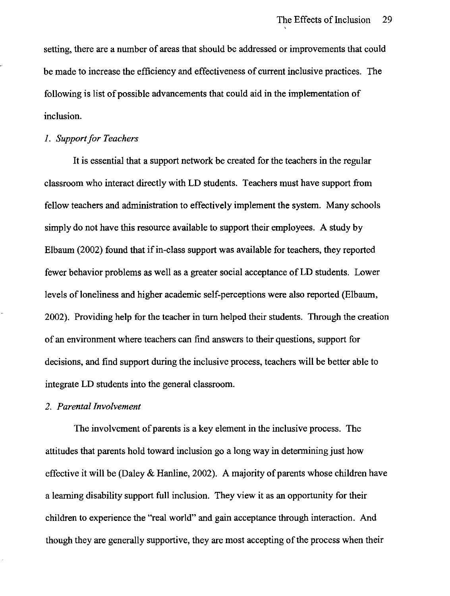setting, there are a number of areas that should be addressed or improvements that could be made to increase the efficiency and effectiveness of current inclusive practices. The following is list of possible advancements that could aid in the implementation of inclusion.

#### *1. Support for Teachers*

It is essential that a support network be created for the teachers in the regular classroom who interact directly with LD students. Teachers must have support from fellow teachers and administration to effectively implement the system. Many schools simply do not have this resource available to support their employees. A study by Elbaum (2002) found that if in-class support was available for teachers, they reported fewer behavior problems as well as a greater social acceptance of LD students. Lower levels of loneliness and higher academic self-perceptions were also reported (Elbaum, 2002). Providing help for the teacher in turn helped their students. Through the creation of an environment where teachers can find answers to their questions, support for decisions, and find support during the inclusive process, teachers will be better able to integrate LD students into the general classroom.

#### *2. Parental Involvement*

The involvement of parents is a key element in the inclusive process. The attitudes that parents hold toward inclusion go a long way in determining just how effective it will be (Daley & Hanline, 2002). A majority of parents whose children have a learning disability support full inclusion. They view it as an opportunity for their children to experience the "real world" and gain acceptance through interaction. And though they are generally supportive, they are most accepting of the process when their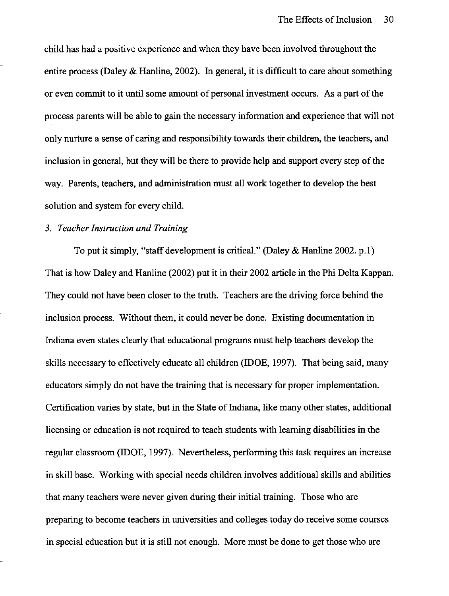child has had a positive experience and when they have been involved throughout the entire process (Daley  $\&$  Hanline, 2002). In general, it is difficult to care about something or even commit to it until some amount of personal investment occurs. As a part of the process parents will be able to gain the necessary information and experience that will not only nurture a sense of caring and responsibility towards their children, the teachers, and inclusion in general, but they will be there to provide help and support every step of the way. Parents, teachers, and administration must all work together to develop the best solution and system for every child.

## *3. Teacher Instruction and Training*

To put it simply, "staff development is critical." (Daley & Hanline 2002. p.l) That is how Daley and Hanline (2002) put it in their 2002 article in the Phi Delta Kappan. They could not have been closer to the truth. Teachers are the driving force behind the inclusion process. Without them, it could never be done. Existing documentation in Indiana even states clearly that educational programs must help teachers develop the skills necessary to effectively educate all children (IDOE, 1997). That being said, many educators simply do not have the training that is necessary for proper implementation. Certification varies by state, but in the State of Indiana, like many other states, additional licensing or education is not required to teach students with learning disabilities in the regular classroom (IDOE, 1997). Nevertheless, performing this task requires an increase in skill base. Working with special needs children involves additional skills and abilities that many teachers were never given during their initial training. Those who are preparing to become teachers in universities and colleges today do receive some courses in special education but it is still not enough. More must be done to get those who are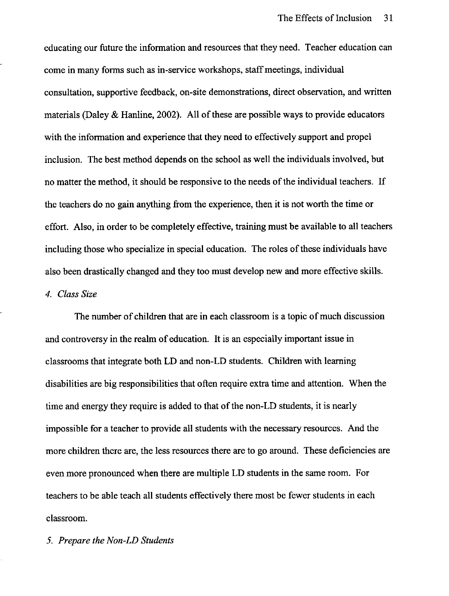educating our future the information and resources that they need. Teacher education can come in many forms such as in-service workshops, staff meetings, individual consultation, supportive feedback, on-site demonstrations, direct observation, and written materials (Daley & Hanline, 2002). All of these are possible ways to provide educators with the information and experience that they need to effectively support and propel inclusion. The best method depends on the school as well the individuals involved, but no matter the method, it should be responsive to the needs of the individual teachers. If the teachers do no gain anything from the experience, then it is not worth the time or effort. Also, in order to be completely effective, training must be available to all teachers including those who specialize in special education. The roles of these individuals have also been drastically changed and they too must develop new and more effective skills.

## *4. Class Size*

The number of children that are in each classroom is a topic of much discussion and controversy in the reahn of education. It is an especially important issue in classrooms that integrate both **LD** and non-LD students. Children with learning disabilities are big responsibilities that often require extra time and attention. When the time and energy they require is added to that of the non-LD students, it is nearly impossible for a teacher to provide all students with the necessary resources. And the more children there are, the less resources there are to go around. These deficiencies are even more pronounced when there are multiple **LD** students in the same room. For teachers to be able teach all students effectively there most be fewer students in each classroom.

*5. Prepare the Non-LD Students*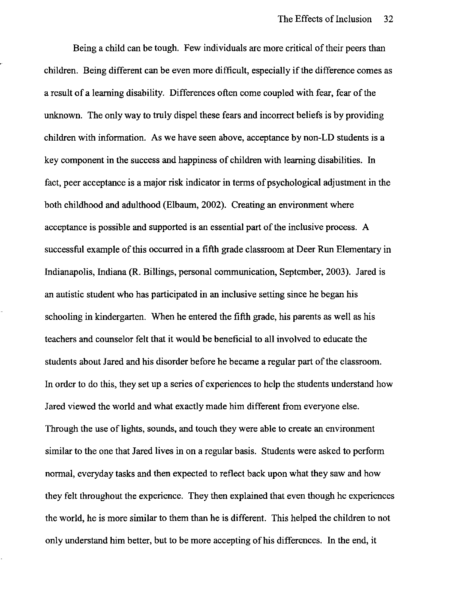Being a child can be tough. Few individuals are more critical of their peers than children. Being different can be even more difficult, especially if the difference comes as a result of a learning disability. Differences often come coupled with fear, fear of the unknown. The only way to truly dispel these fears and incorrect beliefs is by providing children with information. As we have seen above, acceptance by non-LD students is a key component in the success and happiness of children with learning disabilities. In fact, peer acceptance is a major risk indicator in terms of psychological adjustment in the both childhood and adulthood (Elbaum, 2002). Creating an environment where acceptance is possible and supported is an essential part of the inclusive process. A successful example of this occurred in a fifth grade classroom at Deer Run Elementary in Indianapolis, Indiana (R. Billings, personal communication, September, 2003). Jared is an autistic student who has participated in an inclusive setting since he began his schooling in kindergarten. When he entered the fifth grade, his parents as well as his teachers and counselor felt that it would be beneficial to all involved to educate the students about Jared and his disorder before he became a regular part of the classroom. In order to do this, they set up a series of experiences to help the students understand how Jared viewed the world and what exactly made him different from everyone else. Through the use of lights, sounds, and touch they were able to create an environment similar to the one that Jared lives in on a regular basis. Students were asked to perform normal, everyday tasks and then expected to reflect back upon what they saw and how they felt throughout the experience. They then explained that even though he experiences the world, he is more similar to them than he is different. This helped the children to not only understand him better, but to be more accepting of his differences. In the end, it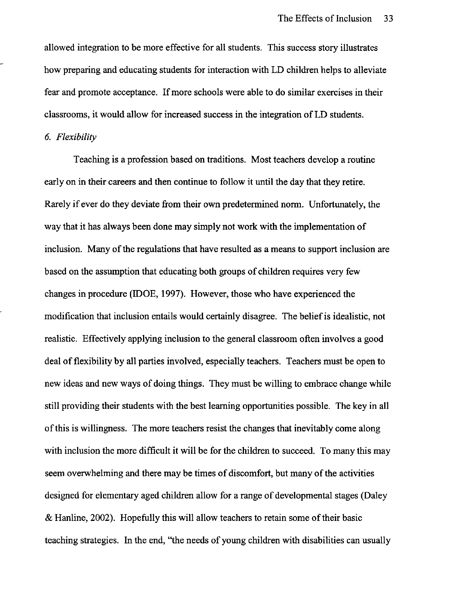allowed integration to be more effective for all students. This success story illustrates how preparing and educating students for interaction with LD children helps to alleviate fear and promote acceptance. If more schools were able to do similar exercises in their classrooms, it would allow for increased success in the integration of LD students.

## *6. Flexibility*

Teaching is a profession based on traditions. Most teachers develop a routine early on in their careers and then continue to follow it until the day that they retire. Rarely if ever do they deviate from their own predetermined norm. Unfortunately, the way that it has always been done may simply not work with the implementation of inclusion. Many of the regulations that have resulted as a means to support inclusion are based on the assumption that educating both groups of children requires very few changes in procedure (IDOE, 1997). However, those who have experienced the modification that inclusion entails would certainly disagree. The belief is idealistic, not realistic. Effectively applying inclusion to the general classroom often involves a good deal of flexibility by **all** parties involved, especially teachers. Teachers must be open to new ideas and new ways of doing things. They must be willing to embrace change while still providing their students with the best learning opportunities possible. The key in all of this is willingness. The more teachers resist the changes that inevitably come along with inclusion the more difficult it will be for the children to succeed. To many this may seem overwhelming and there may be times of discomfort, but many of the activities designed for elementary aged children allow for a range of developmental stages (Daley & Hanline, 2002). Hopefully this will allow teachers to retain some of their basic teaching strategies. In the end, "the needs of young children with disabilities can usually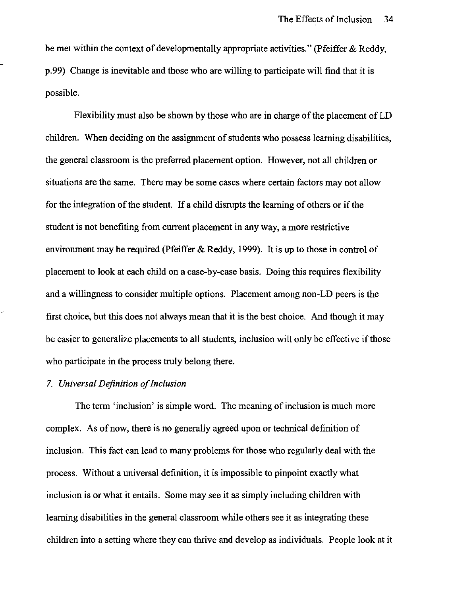be met within the context of developmentally appropriate activities." (Pfeiffer & Reddy, p.99) Change is inevitable and those who are willing to participate will find that it is possible.

Flexibility must also be shown by those who are in charge of the placement of LD children. When deciding on the assignment of students who possess learning disabilities, the general classroom is the preferred placement option. However, not all children or situations are the same. There may be some cases where certain factors may not allow for the integration of the student. If a child disrupts the learning of others or if the student is not benefiting from current placement in any way, a more restrictive environment may be required (Pfeiffer & Reddy, 1999). It is up to those in control of placement to look at each child on a case-by-case basis. Doing this requires flexibility and a willingness to consider multiple options. Placement among non-LD peers is the first choice, but this does not always mean that it is the best choice. And though it may be easier to generalize placements to all students, inclusion will only be effective if those who participate in the process truly belong there.

#### *7. Universal Definition of Inclusion*

The term 'inclusion' is simple word. The meaning of inclusion is much more complex. As of now, there is no generally agreed upon or technical definition of inclusion. This fact can lead to many problems for those who regularly deal with the process. Without a universal definition, it is impossible to pinpoint exactly what inclusion is or what it entails. Some may see it as simply including children with learning disabilities in the general classroom while others see it as integrating these children into a setting where they can thrive and develop as individuals. People look at it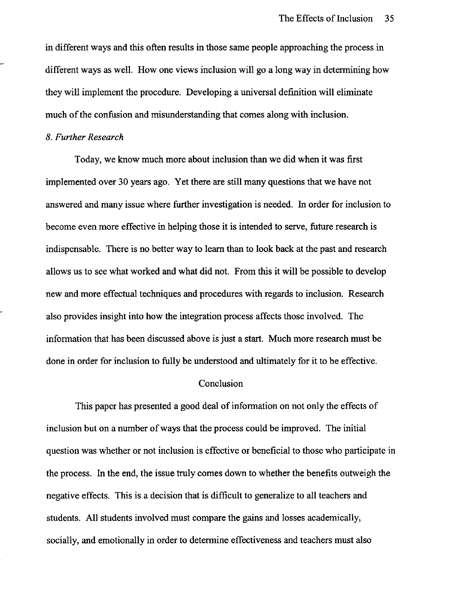in different ways and this often results in those same people approaching the process in different ways as well. How one views inclusion will go a long way in determining how they will implement the procedure. Developing a universal definition will eliminate much of the confusion and misunderstanding that comes along with inclusion.

#### *8. Further Research*

Today, we know much more about inclusion than we did when it was first implemented over 30 years ago. Yet there are still many questions that we have not answered and many issue where further investigation is needed. In order for inclusion to become even more effective in helping those it is intended to serve, future research is indispensable. There is no better way to learn than to look back at the past and research allows us to see what worked and what did not. From this it will be possible to develop new and more effectual techniques and procedures with regards to inclusion. Research also provides insight into how the integration process affects those involved. The information that has been discussed above is just a start. Much more research must be done in order for inclusion to fully be understood and ultimately for it to be effective.

## **Conclusion**

This paper has presented a good deal of information on not only the effects of inclusion but on a number of ways that the process could be improved. The initial question was whether or not inclusion is effective or beneficial to those who participate in the process. In the end, the issue truly comes down to whether the benefits outweigh the negative effects. This is a decision that is difficult to generalize to all teachers and students. All students involved must compare the gains and losses academically, socially, and emotionally in order to determine effectiveness and teachers must also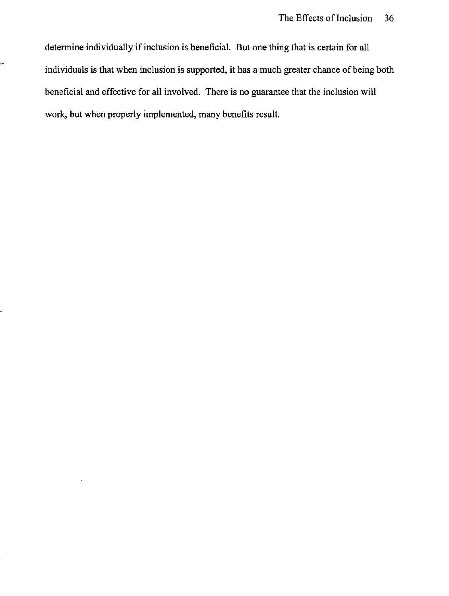detennine individually if inclusion is beneficial. But one thing that is certain for all individuals is that when inclusion is supported, it has a much greater chance of being both beneficial and effective for **all** involved. There is no guarantee that the inclusion will work, but when properly implemented, many benefits result.

--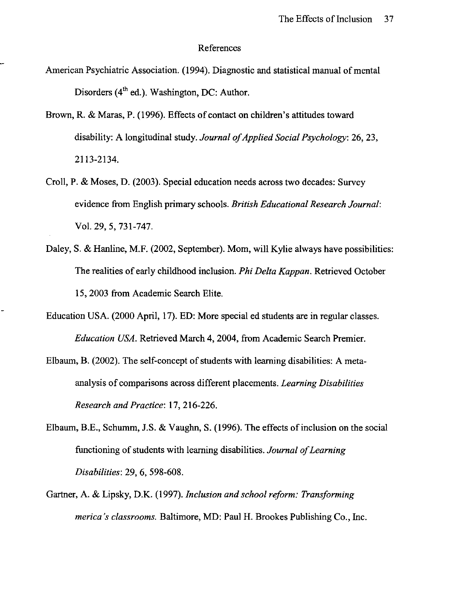#### References

- American Psychiatric Association. (1994). Diagnostic and statistical manual of mental Disorders  $(4<sup>th</sup>$  ed.). Washington, DC: Author.
- Brown, R. & Maras, P. (1996). Effects of contact on children's attitudes toward disability: A longitudinal study. *Journal of Applied Social Psychology:* 26, 23, 2113-2134.
- Croll, P. & Moses, D. (2003). Special education needs across two decades: Survey evidence from English primary schools. *British Educational Research Journal:*  Vol. 29, 5, 731-747.
- Daley, S. & Hanline, M.F. (2002, September). Mom, will Kylie always have possibilities: The realities of early childhood inclusion. *Phi Delta Kappan.* Retrieved October 15, 2003 from Academic Search Elite.
- Education USA. (2000 April, 17). ED: More special ed students are in regular classes. *Education USA.* Retrieved March 4,2004, from Academic Search Premier.
- Elbaum, B. (2002). The self-concept of students with learning disabilities: A metaanalysis of comparisons across different placements. *Learning Disabilities Research and Practice:* 17,216-226.
- Elbaum, B.E., Schumm, I.S. & Vaughn, S. (1996). The effects of inclusion on the social functioning of students with learning disabilities. *Journal of Learning Disabilities:* 29, 6, 598-608.
- Gartner, A. & Lipsky, D.K. (1997). *Inclusion and school reform: Transforming merica's classrooms.* Baltimore, MD: Paul H. Brookes Publishing Co., Inc.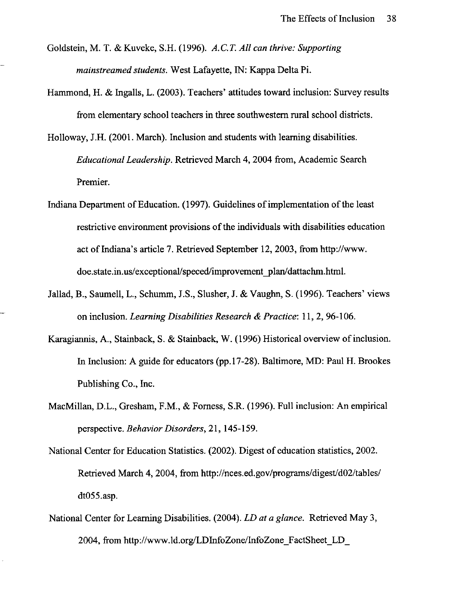- Goldstein, M. T. & Kuveke, S.H. (1996). *A.C.T. All can thrive: Supporting mainstreamed students.* West Lafayette, IN: Kappa Delta Pi.
- Hammond, H. & Ingalls, L. (2003). Teachers' attitudes toward inclusion: Survey results from elementary school teachers in three southwestern rural school districts.
- Holloway, J.H. (2001. March). Inclusion and students with learning disabilities. *Educational Leadership.* Retrieved March 4, 2004 from, Academic Search Premier.
- Indiana Department of Education. (1997). Guidelines of implementation of the least restrictive environment provisions of the individuals with disabilities education act of Indiana's article 7. Retrieved September 12, 2003, from http://www. doe.state.in.us/exceptional/speced/improvement\_plan/dattachm.html.
- Jallad, B., Saumell, L., Schumm, J.S., Slusher, J. & Vaughn, S. (1996). Teachers' views on inclusion. *Learning Disabilities Research* & *Practice:* II, 2, 96-106.
- Karagiannis, A., Stainback, S. & Stainback, W. (1996) Historical overview of inclusion. In Inclusion: A guide for educators (pp.17-28). Baltimore, MD: Paul H. Brookes Publishing Co., Inc.
- MacMillan, D.L., Gresham, F.M., & Forness, S.R. (1996). Full inclusion: An empirical perspective. *Behavior Disorders,* 21,145-159.
- National Center for Education Statistics. (2002). Digest of education statistics, 2002. Retrieved March 4, 2004, from http://nces.ed.gov/programs/digest/d02/tables/ dt055.asp.
- National Center for Learning Disabilities. (2004). *LD at a glance.* Retrieved May 3, 2004, from http://www.ld.org/LDInfoZone/InfoZone FactSheet\_LD